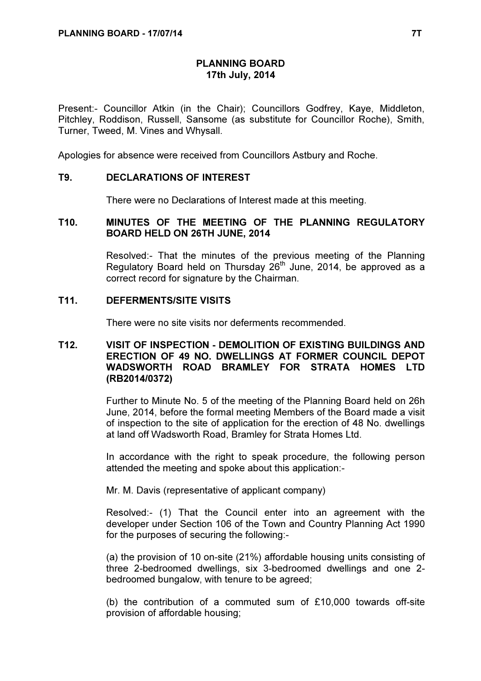## PLANNING BOARD 17th July, 2014

Present:- Councillor Atkin (in the Chair); Councillors Godfrey, Kaye, Middleton, Pitchley, Roddison, Russell, Sansome (as substitute for Councillor Roche), Smith, Turner, Tweed, M. Vines and Whysall.

Apologies for absence were received from Councillors Astbury and Roche.

### T9. DECLARATIONS OF INTEREST

There were no Declarations of Interest made at this meeting.

# T10. MINUTES OF THE MEETING OF THE PLANNING REGULATORY BOARD HELD ON 26TH JUNE, 2014

 Resolved:- That the minutes of the previous meeting of the Planning Regulatory Board held on Thursday  $26<sup>th</sup>$  June, 2014, be approved as a correct record for signature by the Chairman.

### T11. DEFERMENTS/SITE VISITS

There were no site visits nor deferments recommended.

# T12. VISIT OF INSPECTION - DEMOLITION OF EXISTING BUILDINGS AND ERECTION OF 49 NO. DWELLINGS AT FORMER COUNCIL DEPOT WADSWORTH ROAD BRAMLEY FOR STRATA HOMES LTD (RB2014/0372)

 Further to Minute No. 5 of the meeting of the Planning Board held on 26h June, 2014, before the formal meeting Members of the Board made a visit of inspection to the site of application for the erection of 48 No. dwellings at land off Wadsworth Road, Bramley for Strata Homes Ltd.

In accordance with the right to speak procedure, the following person attended the meeting and spoke about this application:-

Mr. M. Davis (representative of applicant company)

Resolved:- (1) That the Council enter into an agreement with the developer under Section 106 of the Town and Country Planning Act 1990 for the purposes of securing the following:-

(a) the provision of 10 on-site (21%) affordable housing units consisting of three 2-bedroomed dwellings, six 3-bedroomed dwellings and one 2 bedroomed bungalow, with tenure to be agreed;

(b) the contribution of a commuted sum of £10,000 towards off-site provision of affordable housing;